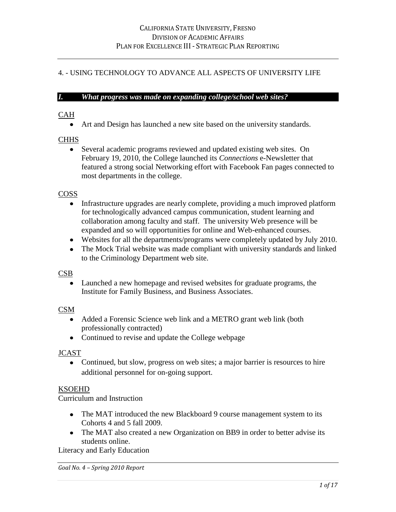# 4. - USING TECHNOLOGY TO ADVANCE ALL ASPECTS OF UNIVERSITY LIFE**was**

### *I. What progress was made on expanding college/school web sites?*

### CAHh**at progress was made on expanding college websites?**

Art and Design has launched a new site based on the university standards.

## **CHHS**

Several academic programs reviewed and updated existing web sites. On February 19, 2010, the College launched its *Connections* e-Newsletter that featured a strong social Networking effort with Facebook Fan pages connected to most departments in the college.

### COSS

- Infrastructure upgrades are nearly complete, providing a much improved platform for technologically advanced campus communication, student learning and collaboration among faculty and staff. The university Web presence will be expanded and so will opportunities for online and Web-enhanced courses.
- Websites for all the departments/programs were completely updated by July 2010.
- The Mock Trial website was made compliant with university standards and linked to the Criminology Department web site.

#### CSB

Launched a new homepage and revised websites for graduate programs, the Institute for Family Business, and Business Associates.

#### CSM

- Added a Forensic Science web link and a METRO grant web link (both professionally contracted)
- Continued to revise and update the College webpage

## JCAST

• Continued, but slow, progress on web sites; a major barrier is resources to hire additional personnel for on-going support.

## KSOEHD

Curriculum and Instruction

- The MAT introduced the new Blackboard 9 course management system to its Cohorts 4 and 5 fall 2009.
- The MAT also created a new Organization on BB9 in order to better advise its students online.

Literacy and Early Education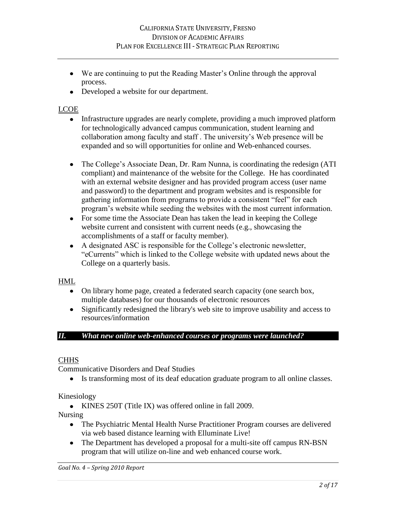- We are continuing to put the Reading Master"s Online through the approval process.
- Developed a website for our department.

# LCOE

- Infrastructure upgrades are nearly complete, providing a much improved platform for technologically advanced campus communication, student learning and collaboration among faculty and staff . The university"s Web presence will be expanded and so will opportunities for online and Web-enhanced courses.
- The College"s Associate Dean, Dr. Ram Nunna, is coordinating the redesign (ATI  $\bullet$ compliant) and maintenance of the website for the College. He has coordinated with an external website designer and has provided program access (user name and password) to the department and program websites and is responsible for gathering information from programs to provide a consistent "feel" for each program"s website while seeding the websites with the most current information.
- For some time the Associate Dean has taken the lead in keeping the College website current and consistent with current needs (e.g., showcasing the accomplishments of a staff or faculty member).
- A designated ASC is responsible for the College"s electronic newsletter, "eCurrents" which is linked to the College website with updated news about the College on a quarterly basis.

## HML

- On library home page, created a federated search capacity (one search box, multiple databases) for our thousands of electronic resources
- Significantly redesigned the library's web site to improve usability and access to resources/information

# *II. What new online web-enhanced courses or programs were launched?*

# **CHHS**

Communicative Disorders and Deaf Studies

Is transforming most of its deaf education graduate program to all online classes.

## Kinesiology

KINES 250T (Title IX) was offered online in fall 2009.

Nursing

- The Psychiatric Mental Health Nurse Practitioner Program courses are delivered via web based distance learning with Elluminate Live!
- The Department has developed a proposal for a multi-site off campus RN-BSN program that will utilize on-line and web enhanced course work.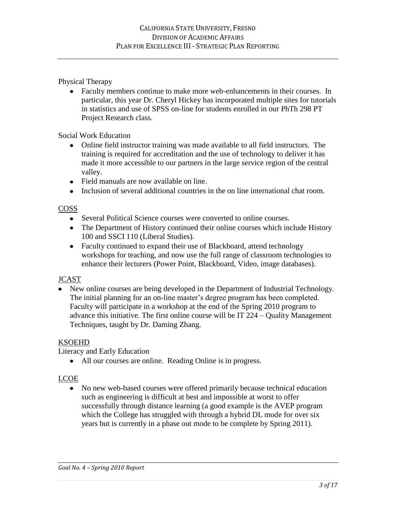Physical Therapy

Faculty members continue to make more web-enhancements in their courses. In particular, this year Dr. Cheryl Hickey has incorporated multiple sites for tutorials in statistics and use of SPSS on-line for students enrolled in our PhTh 298 PT Project Research class.

Social Work Education

- Online field instructor training was made available to all field instructors. The training is required for accreditation and the use of technology to deliver it has made it more accessible to our partners in the large service region of the central valley.
- Field manuals are now available on line.
- Inclusion of several additional countries in the on line international chat room.

# COSS

- Several Political Science courses were converted to online courses.
- The Department of History continued their online courses which include History 100 and SSCI 110 (Liberal Studies).
- Faculty continued to expand their use of Blackboard, attend technology workshops for teaching, and now use the full range of classroom technologies to enhance their lecturers (Power Point, Blackboard, Video, image databases).

# **JCAST**

New online courses are being developed in the Department of Industrial Technology. The initial planning for an on-line master's degree program has been completed. Faculty will participate in a workshop at the end of the Spring 2010 program to advance this initiative. The first online course will be IT 224 – Quality Management Techniques, taught by Dr. Daming Zhang.

# KSOEHD

Literacy and Early Education

All our courses are online. Reading Online is in progress.

# LCOE

No new web-based courses were offered primarily because technical education such as engineering is difficult at best and impossible at worst to offer successfully through distance learning (a good example is the AVEP program which the College has struggled with through a hybrid DL mode for over six years but is currently in a phase out mode to be complete by Spring 2011).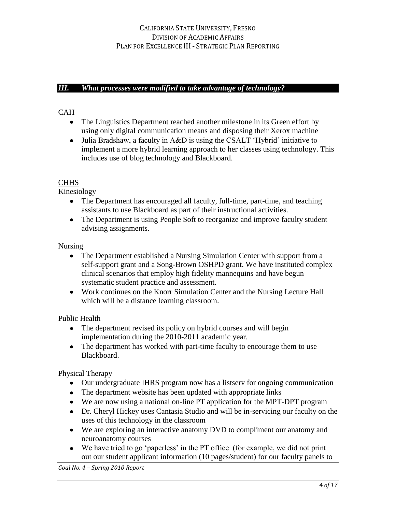#### *III. What processes were modified to take advantage of technology?*

# CAHh**at progress was made on expanding college websites?**

- The Linguistics Department reached another milestone in its Green effort by using only digital communication means and disposing their Xerox machine
- Julia Bradshaw, a faculty in A&D is using the CSALT 'Hybrid' initiative to implement a more hybrid learning approach to her classes using technology. This includes use of blog technology and Blackboard.

## **CHHS**

Kinesiology

- The Department has encouraged all faculty, full-time, part-time, and teaching assistants to use Blackboard as part of their instructional activities.
- The Department is using People Soft to reorganize and improve faculty student advising assignments.

Nursing

- The Department established a Nursing Simulation Center with support from a self-support grant and a Song-Brown OSHPD grant. We have instituted complex clinical scenarios that employ high fidelity mannequins and have begun systematic student practice and assessment.
- Work continues on the Knorr Simulation Center and the Nursing Lecture Hall which will be a distance learning classroom.

Public Health

- The department revised its policy on hybrid courses and will begin implementation during the 2010-2011 academic year.
- The department has worked with part-time faculty to encourage them to use Blackboard.

Physical Therapy

- Our undergraduate IHRS program now has a listserv for ongoing communication
- The department website has been updated with appropriate links
- We are now using a national on-line PT application for the MPT-DPT program
- Dr. Cheryl Hickey uses Cantasia Studio and will be in-servicing our faculty on the uses of this technology in the classroom
- We are exploring an interactive anatomy DVD to compliment our anatomy and neuroanatomy courses
- We have tried to go 'paperless' in the PT office (for example, we did not print out our student applicant information (10 pages/student) for our faculty panels to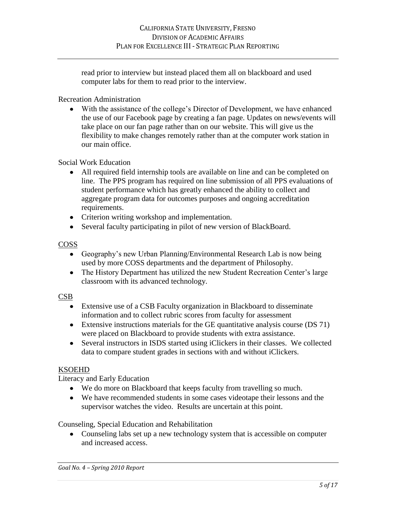read prior to interview but instead placed them all on blackboard and used computer labs for them to read prior to the interview.

Recreation Administration

With the assistance of the college"s Director of Development, we have enhanced the use of our Facebook page by creating a fan page. Updates on news/events will take place on our fan page rather than on our website. This will give us the flexibility to make changes remotely rather than at the computer work station in our main office.

Social Work Education

- All required field internship tools are available on line and can be completed on line. The PPS program has required on line submission of all PPS evaluations of student performance which has greatly enhanced the ability to collect and aggregate program data for outcomes purposes and ongoing accreditation requirements.
- Criterion writing workshop and implementation.
- Several faculty participating in pilot of new version of BlackBoard.

# COSS

- Geography"s new Urban Planning/Environmental Research Lab is now being used by more COSS departments and the department of Philosophy.
- The History Department has utilized the new Student Recreation Center's large classroom with its advanced technology.

## CSB

- Extensive use of a CSB Faculty organization in Blackboard to disseminate information and to collect rubric scores from faculty for assessment
- Extensive instructions materials for the GE quantitative analysis course (DS 71) were placed on Blackboard to provide students with extra assistance.
- Several instructors in ISDS started using iClickers in their classes. We collected data to compare student grades in sections with and without iClickers.

# KSOEHD

Literacy and Early Education

- We do more on Blackboard that keeps faculty from travelling so much.
- We have recommended students in some cases videotape their lessons and the supervisor watches the video. Results are uncertain at this point.

Counseling, Special Education and Rehabilitation

Counseling labs set up a new technology system that is accessible on computer and increased access.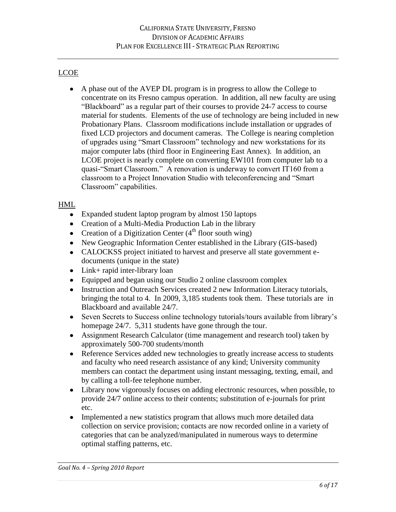# LCOE

A phase out of the AVEP DL program is in progress to allow the College to concentrate on its Fresno campus operation. In addition, all new faculty are using "Blackboard" as a regular part of their courses to provide 24-7 access to course material for students. Elements of the use of technology are being included in new Probationary Plans. Classroom modifications include installation or upgrades of fixed LCD projectors and document cameras. The College is nearing completion of upgrades using "Smart Classroom" technology and new workstations for its major computer labs (third floor in Engineering East Annex). In addition, an LCOE project is nearly complete on converting EW101 from computer lab to a quasi-"Smart Classroom." A renovation is underway to convert IT160 from a classroom to a Project Innovation Studio with teleconferencing and "Smart Classroom" capabilities.

# HML

- Expanded student laptop program by almost 150 laptops
- Creation of a Multi-Media Production Lab in the library
- Creation of a Digitization Center  $(4<sup>th</sup>$  floor south wing)
- New Geographic Information Center established in the Library (GIS-based)
- CALOCKSS project initiated to harvest and preserve all state government edocuments (unique in the state)
- Link+ rapid inter-library loan
- Equipped and began using our Studio 2 online classroom complex
- Instruction and Outreach Services created 2 new Information Literacy tutorials, bringing the total to 4. In 2009, 3,185 students took them. These tutorials are in Blackboard and available 24/7.
- Seven Secrets to Success online technology tutorials/tours available from library"s homepage 24/7. 5,311 students have gone through the tour.
- Assignment Research Calculator (time management and research tool) taken by approximately 500-700 students/month
- Reference Services added new technologies to greatly increase access to students and faculty who need research assistance of any kind; University community members can contact the department using instant messaging, texting, email, and by calling a toll-fee telephone number.
- Library now vigorously focuses on adding electronic resources, when possible, to provide 24/7 online access to their contents; substitution of e-journals for print etc.
- Implemented a new statistics program that allows much more detailed data collection on service provision; contacts are now recorded online in a variety of categories that can be analyzed/manipulated in numerous ways to determine optimal staffing patterns, etc.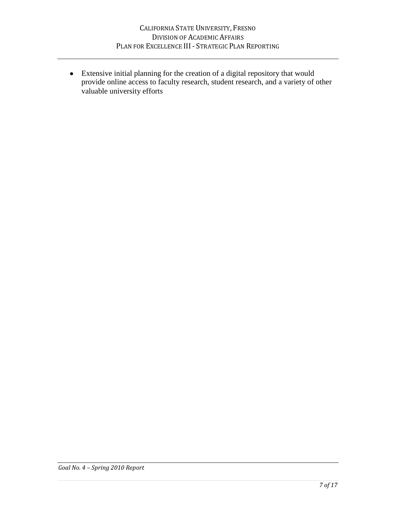Extensive initial planning for the creation of a digital repository that would provide online access to faculty research, student research, and a variety of other valuable university efforts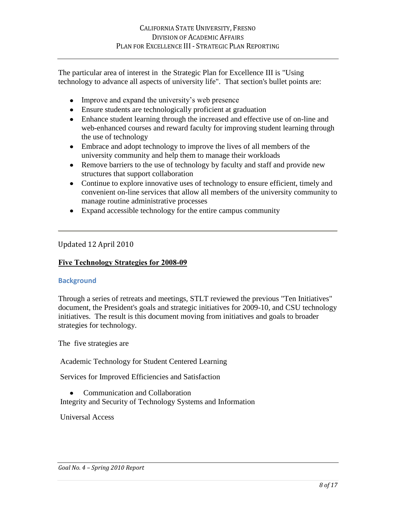The particular area of interest in the Strategic Plan for Excellence III is "Using technology to advance all aspects of university life". That section's bullet points are:

- Improve and expand the university's web presence
- Ensure students are technologically proficient at graduation
- Enhance student learning through the increased and effective use of on-line and web-enhanced courses and reward faculty for improving student learning through the use of technology
- Embrace and adopt technology to improve the lives of all members of the university community and help them to manage their workloads
- Remove barriers to the use of technology by faculty and staff and provide new structures that support collaboration
- Continue to explore innovative uses of technology to ensure efficient, timely and convenient on-line services that allow all members of the university community to manage routine administrative processes
- Expand accessible technology for the entire campus community

## Updated 12 April 2010

## **Five Technology Strategies for 2008-09**

## **Background**

Through a series of retreats and meetings, STLT reviewed the previous "Ten Initiatives" document, the President's goals and strategic initiatives for 2009-10, and CSU technology initiatives. The result is this document moving from initiatives and goals to broader strategies for technology.

The five strategies are

Academic Technology for Student Centered Learning

Services for Improved Efficiencies and Satisfaction

Communication and Collaboration

Integrity and Security of Technology Systems and Information

Universal Access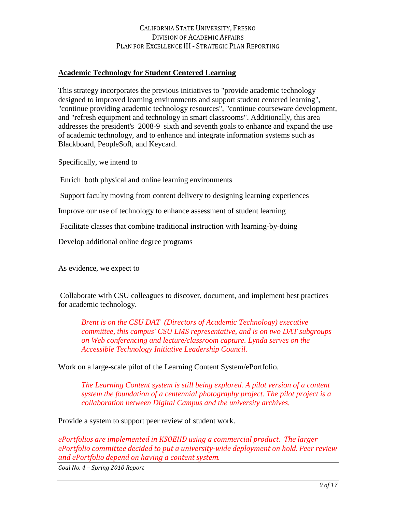### **Academic Technology for Student Centered Learning**

This strategy incorporates the previous initiatives to "provide academic technology designed to improved learning environments and support student centered learning", "continue providing academic technology resources", "continue courseware development, and "refresh equipment and technology in smart classrooms". Additionally, this area addresses the president's 2008-9 sixth and seventh goals to enhance and expand the use of academic technology, and to enhance and integrate information systems such as Blackboard, PeopleSoft, and Keycard.

Specifically, we intend to

Enrich both physical and online learning environments

Support faculty moving from content delivery to designing learning experiences

Improve our use of technology to enhance assessment of student learning

Facilitate classes that combine traditional instruction with learning-by-doing

Develop additional online degree programs

As evidence, we expect to

Collaborate with CSU colleagues to discover, document, and implement best practices for academic technology.

*Brent is on the CSU DAT (Directors of Academic Technology) executive committee, this campus' CSU LMS representative, and is on two DAT subgroups on Web conferencing and lecture/classroom capture. Lynda serves on the Accessible Technology Initiative Leadership Council.* 

Work on a large-scale pilot of the Learning Content System/ePortfolio.

*The Learning Content system is still being explored. A pilot version of a content system the foundation of a centennial photography project. The pilot project is a collaboration between Digital Campus and the university archives.*

Provide a system to support peer review of student work.

*ePortfolios are implemented in KSOEHD using a commercial product. The larger ePortfolio committee decided to put a university-wide deployment on hold. Peer review and ePortfolio depend on having a content system.*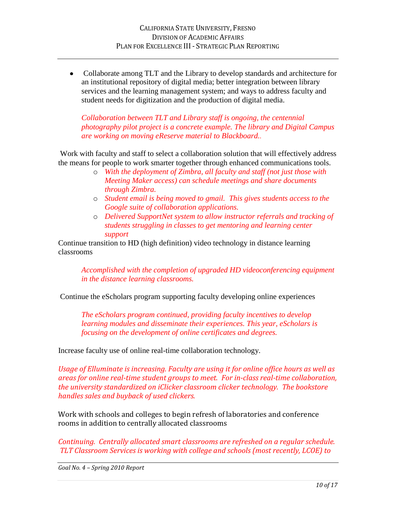Collaborate among TLT and the Library to develop standards and architecture for  $\bullet$ an institutional repository of digital media; better integration between library services and the learning management system; and ways to address faculty and student needs for digitization and the production of digital media.

*Collaboration between TLT and Library staff is ongoing, the centennial photography pilot project is a concrete example. The library and Digital Campus are working on moving eReserve material to Blackboard..*

Work with faculty and staff to select a collaboration solution that will effectively address the means for people to work smarter together through enhanced communications tools.

- o *With the deployment of Zimbra, all faculty and staff (not just those with Meeting Maker access) can schedule meetings and share documents through Zimbra.*
- o *Student email is being moved to gmail. This gives students access to the Google suite of collaboration applications.*
- o *Delivered SupportNet system to allow instructor referrals and tracking of students struggling in classes to get mentoring and learning center support*

Continue transition to HD (high definition) video technology in distance learning classrooms

*Accomplished with the completion of upgraded HD videoconferencing equipment in the distance learning classrooms.*

Continue the eScholars program supporting faculty developing online experiences

*The eScholars program continued, providing faculty incentives to develop learning modules and disseminate their experiences. This year, eScholars is focusing on the development of online certificates and degrees.* 

Increase faculty use of online real-time collaboration technology.

*Usage of Elluminate is increasing. Faculty are using it for online office hours as well as areas for online real-time student groups to meet. For in-class real-time collaboration, the university standardized on iClicker classroom clicker technology. The bookstore handles sales and buyback of used clickers.*

Work with schools and colleges to begin refresh of laboratories and conference rooms in addition to centrally allocated classrooms

*Continuing. Centrally allocated smart classrooms are refreshed on a regular schedule. TLT Classroom Services is working with college and schools (most recently, LCOE) to*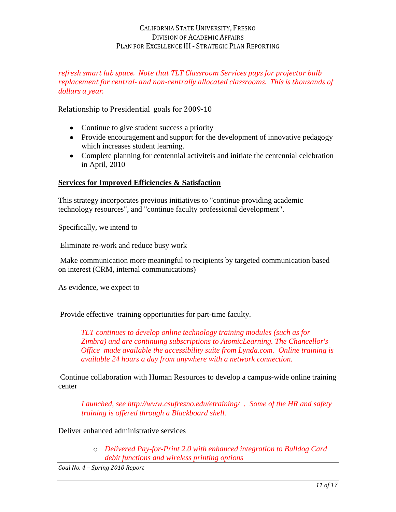## *refresh smart lab space. Note that TLT Classroom Services pays for projector bulb replacement for central- and non-centrally allocated classrooms. This is thousands of dollars a year.*

Relationship to Presidential goals for 2009-10

- Continue to give student success a priority
- Provide encouragement and support for the development of innovative pedagogy which increases student learning.
- Complete planning for centennial activiteis and initiate the centennial celebration in April, 2010

### **Services for Improved Efficiencies & Satisfaction**

This strategy incorporates previous initiatives to "continue providing academic technology resources", and "continue faculty professional development".

Specifically, we intend to

Eliminate re-work and reduce busy work

Make communication more meaningful to recipients by targeted communication based on interest (CRM, internal communications)

As evidence, we expect to

Provide effective training opportunities for part-time faculty.

*TLT continues to develop online technology training modules (such as for Zimbra) and are continuing subscriptions to AtomicLearning. The Chancellor's Office made available the accessibility suite from Lynda.com. Online training is available 24 hours a day from anywhere with a network connection.*

Continue collaboration with Human Resources to develop a campus-wide online training center

*Launched, see http://www.csufresno.edu/etraining/ . Some of the HR and safety training is offered through a Blackboard shell.*

Deliver enhanced administrative services

o *Delivered Pay-for-Print 2.0 with enhanced integration to Bulldog Card debit functions and wireless printing options*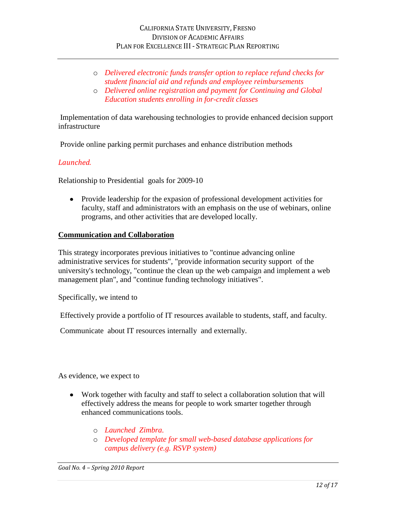- o *Delivered electronic funds transfer option to replace refund checks for student financial aid and refunds and employee reimbursements*
- o *Delivered online registration and payment for Continuing and Global Education students enrolling in for-credit classes*

Implementation of data warehousing technologies to provide enhanced decision support infrastructure

Provide online parking permit purchases and enhance distribution methods

### *Launched.*

Relationship to Presidential goals for 2009-10

Provide leadership for the expasion of professional development activities for faculty, staff and administrators with an emphasis on the use of webinars, online programs, and other activities that are developed locally.

#### **Communication and Collaboration**

This strategy incorporates previous initiatives to "continue advancing online administrative services for students", "provide information security support of the university's technology, "continue the clean up the web campaign and implement a web management plan", and "continue funding technology initiatives".

Specifically, we intend to

Effectively provide a portfolio of IT resources available to students, staff, and faculty.

Communicate about IT resources internally and externally.

As evidence, we expect to

- Work together with faculty and staff to select a collaboration solution that will effectively address the means for people to work smarter together through enhanced communications tools.
	- o *Launched Zimbra.*
	- o *Developed template for small web-based database applications for campus delivery (e.g. RSVP system)*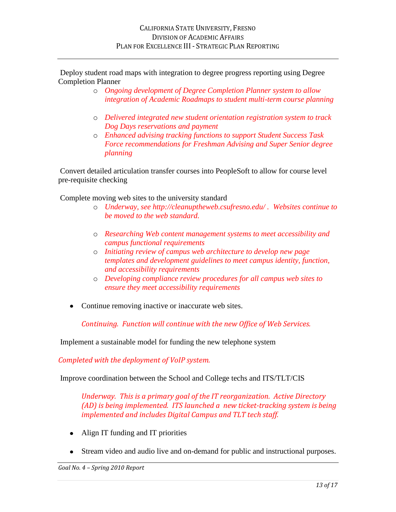Deploy student road maps with integration to degree progress reporting using Degree Completion Planner

- o *Ongoing development of Degree Completion Planner system to allow integration of Academic Roadmaps to student multi-term course planning*
- o *Delivered integrated new student orientation registration system to track Dog Days reservations and payment*
- o *Enhanced advising tracking functions to support Student Success Task Force recommendations for Freshman Advising and Super Senior degree planning*

Convert detailed articulation transfer courses into PeopleSoft to allow for course level pre-requisite checking

Complete moving web sites to the university standard

- o *Underway, see http://cleanuptheweb.csufresno.edu/ . Websites continue to be moved to the web standard.*
- o *Researching Web content management systems to meet accessibility and campus functional requirements*
- o *Initiating review of campus web architecture to develop new page templates and development guidelines to meet campus identity, function, and accessibility requirements*
- o *Developing compliance review procedures for all campus web sites to ensure they meet accessibility requirements*
- Continue removing inactive or inaccurate web sites.

*Continuing. Function will continue with the new Office of Web Services.*

Implement a sustainable model for funding the new telephone system

*Completed with the deployment of VoIP system.*

Improve coordination between the School and College techs and ITS/TLT/CIS

*Underway. This is a primary goal of the IT reorganization. Active Directory (AD) is being implemented. ITS launched a new ticket-tracking system is being implemented and includes Digital Campus and TLT tech staff.*

- Align IT funding and IT priorities
- Stream video and audio live and on-demand for public and instructional purposes.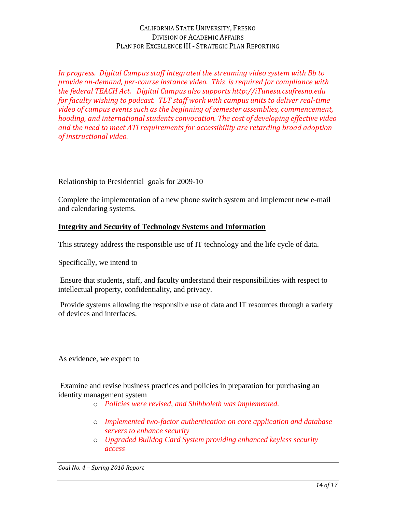*In progress. Digital Campus staff integrated the streaming video system with Bb to provide on-demand, per-course instance video. This is required for compliance with the federal TEACH Act. Digital Campus also supports http://iTunesu.csufresno.edu for faculty wishing to podcast. TLT staff work with campus units to deliver real-time video of campus events such as the beginning of semester assemblies, commencement, hooding, and international students convocation. The cost of developing effective video and the need to meet ATI requirements for accessibility are retarding broad adoption of instructional video.*

Relationship to Presidential goals for 2009-10

Complete the implementation of a new phone switch system and implement new e-mail and calendaring systems.

# **Integrity and Security of Technology Systems and Information**

This strategy address the responsible use of IT technology and the life cycle of data.

Specifically, we intend to

Ensure that students, staff, and faculty understand their responsibilities with respect to intellectual property, confidentiality, and privacy.

Provide systems allowing the responsible use of data and IT resources through a variety of devices and interfaces.

As evidence, we expect to

Examine and revise business practices and policies in preparation for purchasing an identity management system

- o *Policies were revised, and Shibboleth was implemented.*
- o *Implemented two-factor authentication on core application and database servers to enhance security*
- o *Upgraded Bulldog Card System providing enhanced keyless security access*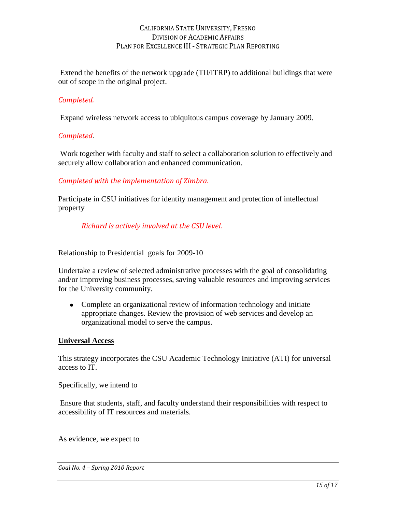Extend the benefits of the network upgrade (TII/ITRP) to additional buildings that were out of scope in the original project.

## *Completed.*

Expand wireless network access to ubiquitous campus coverage by January 2009.

#### *Completed*.

Work together with faculty and staff to select a collaboration solution to effectively and securely allow collaboration and enhanced communication.

### *Completed with the implementation of Zimbra.*

Participate in CSU initiatives for identity management and protection of intellectual property

### *Richard is actively involved at the CSU level.*

Relationship to Presidential goals for 2009-10

Undertake a review of selected administrative processes with the goal of consolidating and/or improving business processes, saving valuable resources and improving services for the University community.

• Complete an organizational review of information technology and initiate appropriate changes. Review the provision of web services and develop an organizational model to serve the campus.

#### **Universal Access**

This strategy incorporates the CSU Academic Technology Initiative (ATI) for universal access to IT.

Specifically, we intend to

Ensure that students, staff, and faculty understand their responsibilities with respect to accessibility of IT resources and materials.

As evidence, we expect to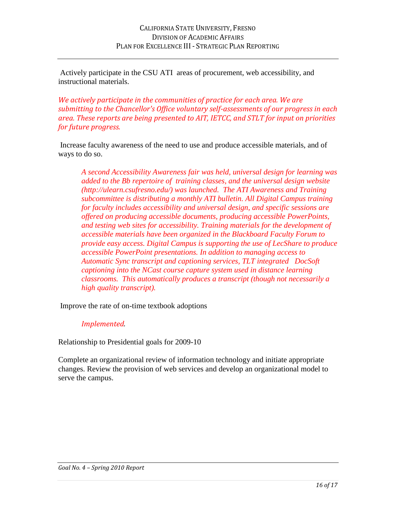Actively participate in the CSU ATI areas of procurement, web accessibility, and instructional materials.

*We actively participate in the communities of practice for each area. We are submitting to the Chancellor's Office voluntary self-assessments of our progress in each area. These reports are being presented to AIT, IETCC, and STLT for input on priorities for future progress.* 

Increase faculty awareness of the need to use and produce accessible materials, and of ways to do so.

*A second Accessibility Awareness fair was held, universal design for learning was added to the Bb repertoire of training classes, and the universal design website (http://ulearn.csufresno.edu/) was launched. The ATI Awareness and Training subcommittee is distributing a monthly ATI bulletin. All Digital Campus training for faculty includes accessibility and universal design, and specific sessions are offered on producing accessible documents, producing accessible PowerPoints, and testing web sites for accessibility. Training materials for the development of accessible materials have been organized in the Blackboard Faculty Forum to provide easy access. Digital Campus is supporting the use of LecShare to produce accessible PowerPoint presentations. In addition to managing access to Automatic Sync transcript and captioning services, TLT integrated DocSoft captioning into the NCast course capture system used in distance learning classrooms. This automatically produces a transcript (though not necessarily a high quality transcript).*

Improve the rate of on-time textbook adoptions

## *Implemented.*

Relationship to Presidential goals for 2009-10

Complete an organizational review of information technology and initiate appropriate changes. Review the provision of web services and develop an organizational model to serve the campus.